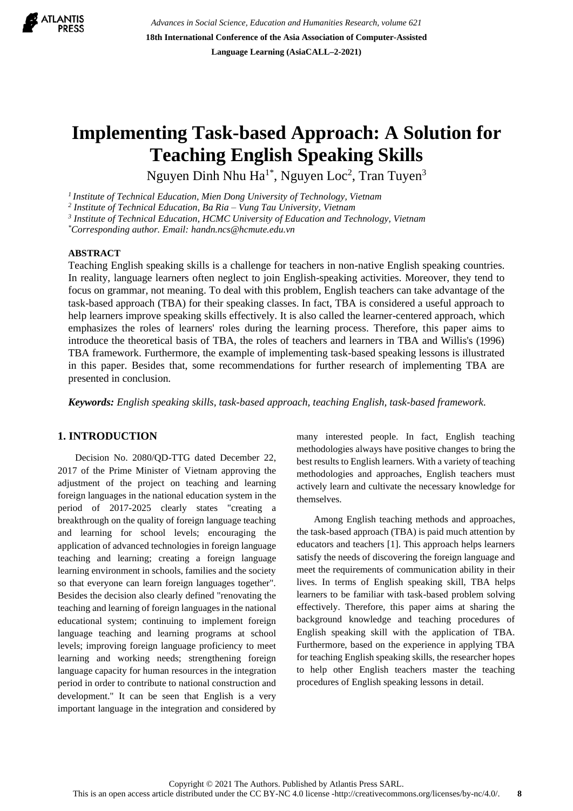

*Advances in Social Science, Education and Humanities Research, volume 621* **18th International Conference of the Asia Association of Computer-Assisted Language Learning (AsiaCALL–2-2021)**

# **Implementing Task-based Approach: A Solution for Teaching English Speaking Skills**

Nguyen Dinh Nhu Ha $^{1*}$ , Nguyen Loc<sup>2</sup>, Tran Tuyen<sup>3</sup>

*<sup>1</sup>Institute of Technical Education, Mien Dong University of Technology, Vietnam*

*2 Institute of Technical Education, Ba Ria – Vung Tau University, Vietnam*

*3 Institute of Technical Education, HCMC University of Education and Technology, Vietnam*

*\*Corresponding author. Email: handn.ncs@hcmute.edu.vn*

## **ABSTRACT**

Teaching English speaking skills is a challenge for teachers in non-native English speaking countries. In reality, language learners often neglect to join English-speaking activities. Moreover, they tend to focus on grammar, not meaning. To deal with this problem, English teachers can take advantage of the task-based approach (TBA) for their speaking classes. In fact, TBA is considered a useful approach to help learners improve speaking skills effectively. It is also called the learner-centered approach, which emphasizes the roles of learners' roles during the learning process. Therefore, this paper aims to introduce the theoretical basis of TBA, the roles of teachers and learners in TBA and Willis's (1996) TBA framework. Furthermore, the example of implementing task-based speaking lessons is illustrated in this paper. Besides that, some recommendations for further research of implementing TBA are presented in conclusion.

*Keywords: English speaking skills, task-based approach, teaching English, task-based framework.*

## **1. INTRODUCTION**

Decision No. 2080/QD-TTG dated December 22, 2017 of the Prime Minister of Vietnam approving the adjustment of the project on teaching and learning foreign languages in the national education system in the period of 2017-2025 clearly states "creating a breakthrough on the quality of foreign language teaching and learning for school levels; encouraging the application of advanced technologies in foreign language teaching and learning; creating a foreign language learning environment in schools, families and the society so that everyone can learn foreign languages together". Besides the decision also clearly defined "renovating the teaching and learning of foreign languages in the national educational system; continuing to implement foreign language teaching and learning programs at school levels; improving foreign language proficiency to meet learning and working needs; strengthening foreign language capacity for human resources in the integration period in order to contribute to national construction and development." It can be seen that English is a very important language in the integration and considered by many interested people. In fact, English teaching methodologies always have positive changes to bring the best results to English learners. With a variety of teaching methodologies and approaches, English teachers must actively learn and cultivate the necessary knowledge for themselves.

Among English teaching methods and approaches, the task-based approach (TBA) is paid much attention by educators and teachers [1]. This approach helps learners satisfy the needs of discovering the foreign language and meet the requirements of communication ability in their lives. In terms of English speaking skill, TBA helps learners to be familiar with task-based problem solving effectively. Therefore, this paper aims at sharing the background knowledge and teaching procedures of English speaking skill with the application of TBA. Furthermore, based on the experience in applying TBA for teaching English speaking skills, the researcher hopes to help other English teachers master the teaching procedures of English speaking lessons in detail.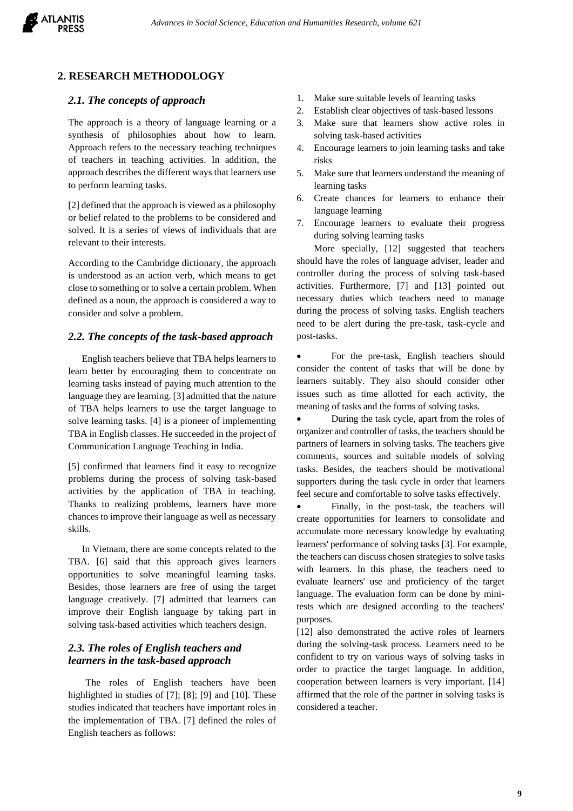

## **2. RESEARCH METHODOLOGY**

## *2.1. The concepts of approach*

The approach is a theory of language learning or a synthesis of philosophies about how to learn. Approach refers to the necessary teaching techniques of teachers in teaching activities. In addition, the approach describes the different ways that learners use to perform learning tasks.

[2] defined that the approach is viewed as a philosophy or belief related to the problems to be considered and solved. It is a series of views of individuals that are relevant to their interests.

According to the Cambridge dictionary, the approach is understood as an action verb, which means to get close to something or to solve a certain problem. When defined as a noun, the approach is considered a way to consider and solve a problem.

#### *2.2. The concepts of the task-based approach*

English teachers believe that TBA helps learners to learn better by encouraging them to concentrate on learning tasks instead of paying much attention to the language they are learning. [3] admitted that the nature of TBA helps learners to use the target language to solve learning tasks. [4] is a pioneer of implementing TBA in English classes. He succeeded in the project of Communication Language Teaching in India.

[5] confirmed that learners find it easy to recognize problems during the process of solving task-based activities by the application of TBA in teaching. Thanks to realizing problems, learners have more chances to improve their language as well as necessary skills.

In Vietnam, there are some concepts related to the TBA. [6] said that this approach gives learners opportunities to solve meaningful learning tasks. Besides, those learners are free of using the target language creatively. [7] admitted that learners can improve their English language by taking part in solving task-based activities which teachers design.

# *2.3. The roles of English teachers and learners in the task-based approach*

The roles of English teachers have been highlighted in studies of [7]; [8]; [9] and [10]. These studies indicated that teachers have important roles in the implementation of TBA. [7] defined the roles of English teachers as follows:

- 1. Make sure suitable levels of learning tasks
- 2. Establish clear objectives of task-based lessons
- 3. Make sure that learners show active roles in solving task-based activities
- 4. Encourage learners to join learning tasks and take risks
- 5. Make sure that learners understand the meaning of learning tasks
- 6. Create chances for learners to enhance their language learning
- 7. Encourage learners to evaluate their progress during solving learning tasks

More specially, [12] suggested that teachers should have the roles of language adviser, leader and controller during the process of solving task-based activities. Furthermore, [7] and [13] pointed out necessary duties which teachers need to manage during the process of solving tasks. English teachers need to be alert during the pre-task, task-cycle and post-tasks.

For the pre-task, English teachers should consider the content of tasks that will be done by learners suitably. They also should consider other issues such as time allotted for each activity, the meaning of tasks and the forms of solving tasks.

• During the task cycle, apart from the roles of organizer and controller of tasks, the teachers should be partners of learners in solving tasks. The teachers give comments, sources and suitable models of solving tasks. Besides, the teachers should be motivational supporters during the task cycle in order that learners feel secure and comfortable to solve tasks effectively.

• Finally, in the post-task, the teachers will create opportunities for learners to consolidate and accumulate more necessary knowledge by evaluating learners' performance of solving tasks [3]. For example, the teachers can discuss chosen strategies to solve tasks with learners. In this phase, the teachers need to evaluate learners' use and proficiency of the target language. The evaluation form can be done by minitests which are designed according to the teachers' purposes.

[12] also demonstrated the active roles of learners during the solving-task process. Learners need to be confident to try on various ways of solving tasks in order to practice the target language. In addition, cooperation between learners is very important. [14] affirmed that the role of the partner in solving tasks is considered a teacher.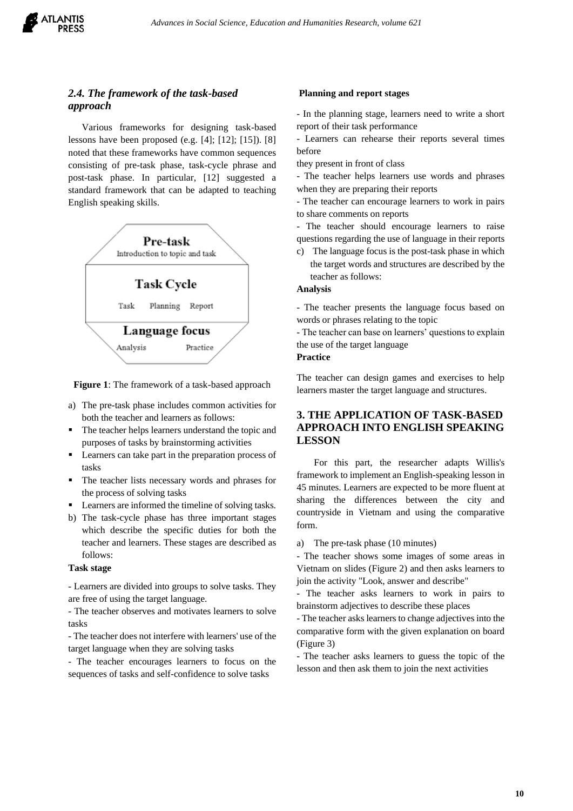# *2.4. The framework of the task-based approach*

Various frameworks for designing task-based lessons have been proposed (e.g. [4]; [12]; [15]). [8] noted that these frameworks have common sequences consisting of pre-task phase, task-cycle phrase and post-task phase. In particular, [12] suggested a standard framework that can be adapted to teaching English speaking skills.



**Figure 1**: The framework of a task-based approach

- a) The pre-task phase includes common activities for both the teacher and learners as follows:
- The teacher helps learners understand the topic and purposes of tasks by brainstorming activities
- Learners can take part in the preparation process of tasks
- The teacher lists necessary words and phrases for the process of solving tasks
- Learners are informed the timeline of solving tasks.
- b) The task-cycle phase has three important stages which describe the specific duties for both the teacher and learners. These stages are described as follows:

## **Task stage**

- Learners are divided into groups to solve tasks. They are free of using the target language.

- The teacher observes and motivates learners to solve tasks

- The teacher does not interfere with learners' use of the target language when they are solving tasks

- The teacher encourages learners to focus on the sequences of tasks and self-confidence to solve tasks

#### **Planning and report stages**

- In the planning stage, learners need to write a short report of their task performance

- Learners can rehearse their reports several times before

they present in front of class

- The teacher helps learners use words and phrases when they are preparing their reports

- The teacher can encourage learners to work in pairs to share comments on reports

- The teacher should encourage learners to raise questions regarding the use of language in their reports

c) The language focus is the post-task phase in which the target words and structures are described by the teacher as follows:

#### **Analysis**

- The teacher presents the language focus based on words or phrases relating to the topic

- The teacher can base on learners' questions to explain the use of the target language

#### **Practice**

The teacher can design games and exercises to help learners master the target language and structures.

# **3. THE APPLICATION OF TASK-BASED APPROACH INTO ENGLISH SPEAKING LESSON**

For this part, the researcher adapts Willis's framework to implement an English-speaking lesson in 45 minutes. Learners are expected to be more fluent at sharing the differences between the city and countryside in Vietnam and using the comparative form.

a) The pre-task phase (10 minutes)

- The teacher shows some images of some areas in Vietnam on slides (Figure 2) and then asks learners to join the activity "Look, answer and describe"

- The teacher asks learners to work in pairs to brainstorm adjectives to describe these places

- The teacher asks learners to change adjectivesinto the comparative form with the given explanation on board (Figure 3)

- The teacher asks learners to guess the topic of the lesson and then ask them to join the next activities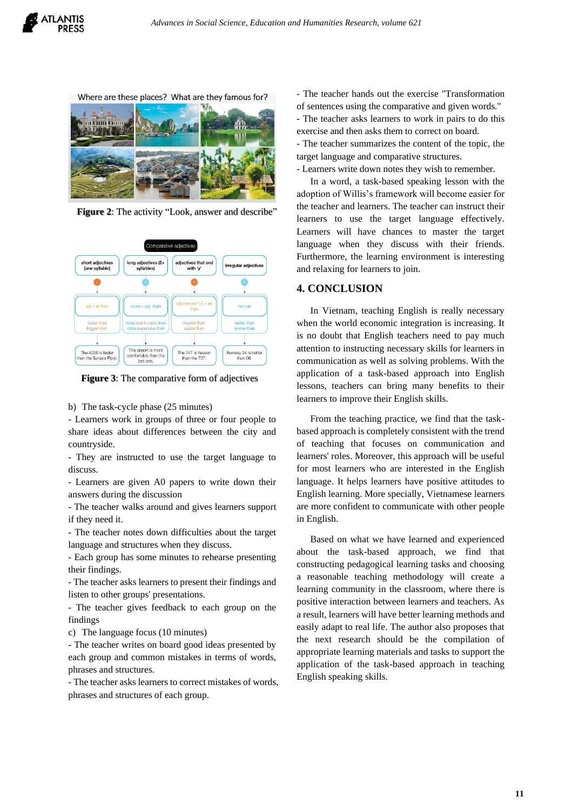

Where are these places? What are they famous for?



**Figure 2**: The activity "Look, answer and describe"



**Figure 3**: The comparative form of adjectives

b) The task-cycle phase (25 minutes)

- Learners work in groups of three or four people to share ideas about differences between the city and countryside.

- They are instructed to use the target language to discuss.

- Learners are given A0 papers to write down their answers during the discussion

- The teacher walks around and gives learners support if they need it.

- The teacher notes down difficulties about the target language and structures when they discuss.

- Each group has some minutes to rehearse presenting their findings.

- The teacher asks learners to present their findings and listen to other groups' presentations.

- The teacher gives feedback to each group on the findings

c) The language focus (10 minutes)

- The teacher writes on board good ideas presented by each group and common mistakes in terms of words, phrases and structures.

- The teacher asks learners to correct mistakes of words, phrases and structures of each group.

- The teacher hands out the exercise "Transformation of sentences using the comparative and given words." - The teacher asks learners to work in pairs to do this exercise and then asks them to correct on board.

- The teacher summarizes the content of the topic, the target language and comparative structures.

- Learners write down notes they wish to remember.

In a word, a task-based speaking lesson with the adoption of Willis's framework will become easier for the teacher and learners. The teacher can instruct their learners to use the target language effectively. Learners will have chances to master the target language when they discuss with their friends. Furthermore, the learning environment is interesting and relaxing for learners to join.

## **4. CONCLUSION**

In Vietnam, teaching English is really necessary when the world economic integration is increasing. It is no doubt that English teachers need to pay much attention to instructing necessary skills for learners in communication as well as solving problems. With the application of a task-based approach into English lessons, teachers can bring many benefits to their learners to improve their English skills.

From the teaching practice, we find that the taskbased approach is completely consistent with the trend of teaching that focuses on communication and learners' roles. Moreover, this approach will be useful for most learners who are interested in the English language. It helps learners have positive attitudes to English learning. More specially, Vietnamese learners are more confident to communicate with other people in English.

Based on what we have learned and experienced about the task-based approach, we find that constructing pedagogical learning tasks and choosing a reasonable teaching methodology will create a learning community in the classroom, where there is positive interaction between learners and teachers. As a result, learners will have better learning methods and easily adapt to real life. The author also proposes that the next research should be the compilation of appropriate learning materials and tasks to support the application of the task-based approach in teaching English speaking skills.